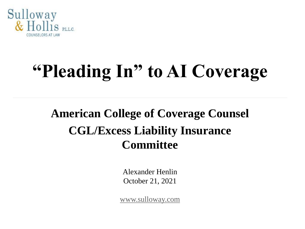

# **"Pleading In" to AI Coverage**

#### **American College of Coverage Counsel CGL/Excess Liability Insurance Committee**

Alexander Henlin October 21, 2021

[www.sulloway.com](http://www.sulloway.com/)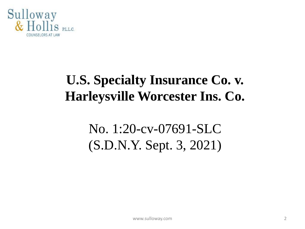

### **U.S. Specialty Insurance Co. v. Harleysville Worcester Ins. Co.**

### No. 1:20-cv-07691-SLC (S.D.N.Y. Sept. 3, 2021)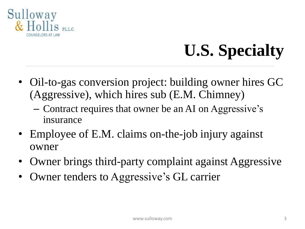

## **U.S. Specialty**

- Oil-to-gas conversion project: building owner hires GC (Aggressive), which hires sub (E.M. Chimney)
	- Contract requires that owner be an AI on Aggressive's insurance
- Employee of E.M. claims on-the-job injury against owner
- Owner brings third-party complaint against Aggressive
- Owner tenders to Aggressive's GL carrier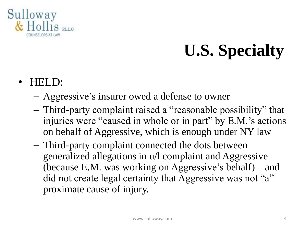

## **U.S. Specialty**

- HELD:
	- Aggressive's insurer owed a defense to owner
	- Third-party complaint raised a "reasonable possibility" that injuries were "caused in whole or in part" by E.M.'s actions on behalf of Aggressive, which is enough under NY law
	- Third-party complaint connected the dots between generalized allegations in u/l complaint and Aggressive (because E.M. was working on Aggressive's behalf) – and did not create legal certainty that Aggressive was not "a" proximate cause of injury.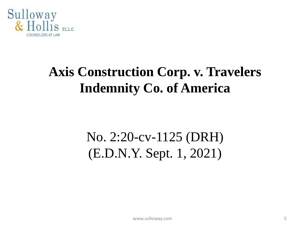

### **Axis Construction Corp. v. Travelers Indemnity Co. of America**

### No. 2:20-cv-1125 (DRH) (E.D.N.Y. Sept. 1, 2021)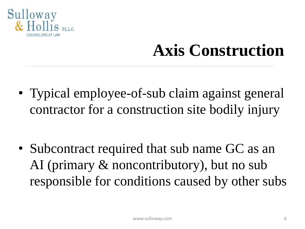

• Typical employee-of-sub claim against general contractor for a construction site bodily injury

• Subcontract required that sub name GC as an AI (primary & noncontributory), but no sub responsible for conditions caused by other subs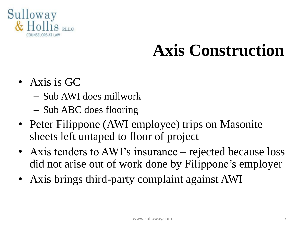

- Axis is GC
	- Sub AWI does millwork
	- Sub ABC does flooring
- Peter Filippone (AWI employee) trips on Masonite sheets left untaped to floor of project
- Axis tenders to AWI's insurance rejected because loss did not arise out of work done by Filippone's employer
- Axis brings third-party complaint against AWI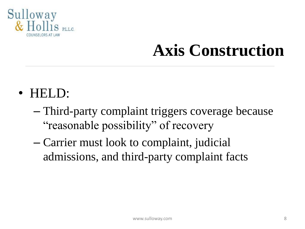

- HELD:
	- Third-party complaint triggers coverage because "reasonable possibility" of recovery
	- Carrier must look to complaint, judicial admissions, and third-party complaint facts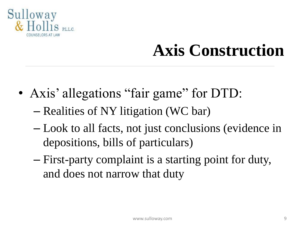

- Axis' allegations "fair game" for DTD: – Realities of NY litigation (WC bar)
	- Look to all facts, not just conclusions (evidence in depositions, bills of particulars)
	- First-party complaint is a starting point for duty, and does not narrow that duty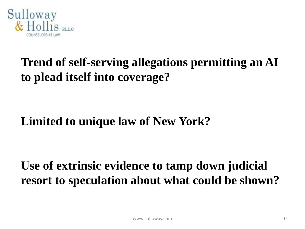

#### **Trend of self-serving allegations permitting an AI to plead itself into coverage?**

#### **Limited to unique law of New York?**

**Use of extrinsic evidence to tamp down judicial resort to speculation about what could be shown?**